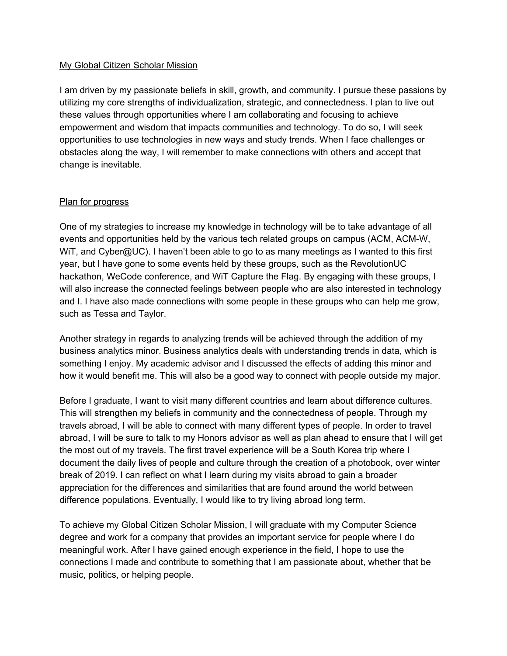## My Global Citizen Scholar Mission

I am driven by my passionate beliefs in skill, growth, and community. I pursue these passions by utilizing my core strengths of individualization, strategic, and connectedness. I plan to live out these values through opportunities where I am collaborating and focusing to achieve empowerment and wisdom that impacts communities and technology. To do so, I will seek opportunities to use technologies in new ways and study trends. When I face challenges or obstacles along the way, I will remember to make connections with others and accept that change is inevitable.

## Plan for progress

One of my strategies to increase my knowledge in technology will be to take advantage of all events and opportunities held by the various tech related groups on campus (ACM, ACM-W, WiT, and Cyber@UC). I haven't been able to go to as many meetings as I wanted to this first year, but I have gone to some events held by these groups, such as the RevolutionUC hackathon, WeCode conference, and WiT Capture the Flag. By engaging with these groups, I will also increase the connected feelings between people who are also interested in technology and I. I have also made connections with some people in these groups who can help me grow, such as Tessa and Taylor.

Another strategy in regards to analyzing trends will be achieved through the addition of my business analytics minor. Business analytics deals with understanding trends in data, which is something I enjoy. My academic advisor and I discussed the effects of adding this minor and how it would benefit me. This will also be a good way to connect with people outside my major.

Before I graduate, I want to visit many different countries and learn about difference cultures. This will strengthen my beliefs in community and the connectedness of people. Through my travels abroad, I will be able to connect with many different types of people. In order to travel abroad, I will be sure to talk to my Honors advisor as well as plan ahead to ensure that I will get the most out of my travels. The first travel experience will be a South Korea trip where I document the daily lives of people and culture through the creation of a photobook, over winter break of 2019. I can reflect on what I learn during my visits abroad to gain a broader appreciation for the differences and similarities that are found around the world between difference populations. Eventually, I would like to try living abroad long term.

To achieve my Global Citizen Scholar Mission, I will graduate with my Computer Science degree and work for a company that provides an important service for people where I do meaningful work. After I have gained enough experience in the field, I hope to use the connections I made and contribute to something that I am passionate about, whether that be music, politics, or helping people.